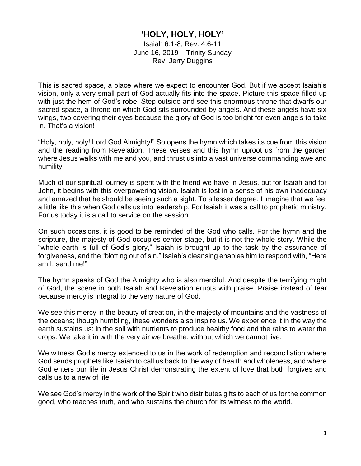## **'HOLY, HOLY, HOLY'**

Isaiah 6:1-8; Rev. 4:6-11 June 16, 2019 – Trinity Sunday Rev. Jerry Duggins

This is sacred space, a place where we expect to encounter God. But if we accept Isaiah's vision, only a very small part of God actually fits into the space. Picture this space filled up with just the hem of God's robe. Step outside and see this enormous throne that dwarfs our sacred space, a throne on which God sits surrounded by angels. And these angels have six wings, two covering their eyes because the glory of God is too bright for even angels to take in. That's a vision!

"Holy, holy, holy! Lord God Almighty!" So opens the hymn which takes its cue from this vision and the reading from Revelation. These verses and this hymn uproot us from the garden where Jesus walks with me and you, and thrust us into a vast universe commanding awe and humility.

Much of our spiritual journey is spent with the friend we have in Jesus, but for Isaiah and for John, it begins with this overpowering vision. Isaiah is lost in a sense of his own inadequacy and amazed that he should be seeing such a sight. To a lesser degree, I imagine that we feel a little like this when God calls us into leadership. For Isaiah it was a call to prophetic ministry. For us today it is a call to service on the session.

On such occasions, it is good to be reminded of the God who calls. For the hymn and the scripture, the majesty of God occupies center stage, but it is not the whole story. While the "whole earth is full of God's glory," Isaiah is brought up to the task by the assurance of forgiveness, and the "blotting out of sin." Isaiah's cleansing enables him to respond with, "Here am I, send me!"

The hymn speaks of God the Almighty who is also merciful. And despite the terrifying might of God, the scene in both Isaiah and Revelation erupts with praise. Praise instead of fear because mercy is integral to the very nature of God.

We see this mercy in the beauty of creation, in the majesty of mountains and the vastness of the oceans; though humbling, these wonders also inspire us. We experience it in the way the earth sustains us: in the soil with nutrients to produce healthy food and the rains to water the crops. We take it in with the very air we breathe, without which we cannot live.

We witness God's mercy extended to us in the work of redemption and reconciliation where God sends prophets like Isaiah to call us back to the way of health and wholeness, and where God enters our life in Jesus Christ demonstrating the extent of love that both forgives and calls us to a new of life

We see God's mercy in the work of the Spirit who distributes gifts to each of us for the common good, who teaches truth, and who sustains the church for its witness to the world.